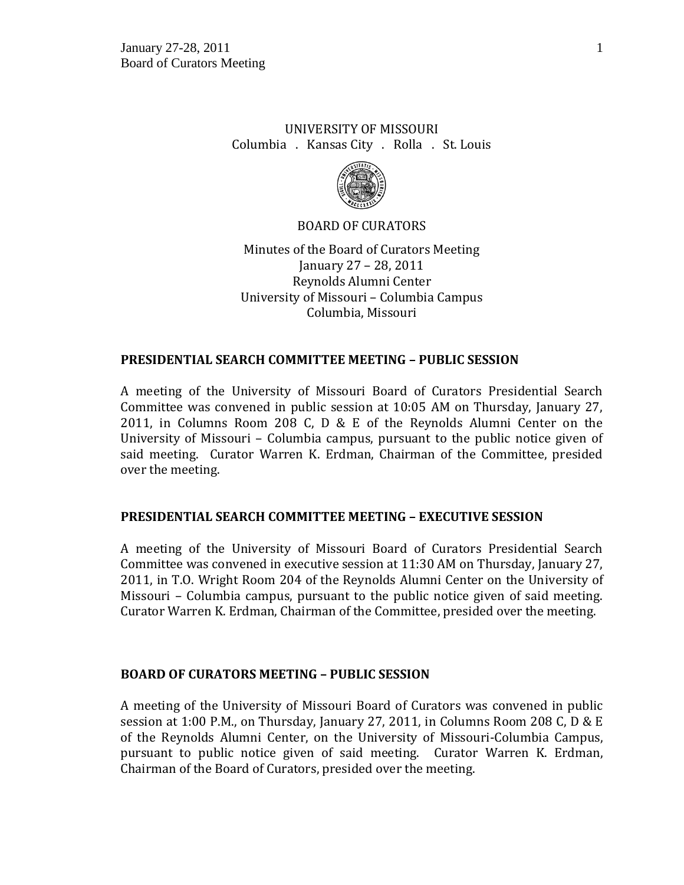## UNIVERSITY OF MISSOURI Columbia . Kansas City . Rolla . St. Louis



#### BOARD OF CURATORS

Minutes of the Board of Curators Meeting January 27 – 28, 2011 Reynolds Alumni Center University of Missouri – Columbia Campus Columbia, Missouri

### **PRESIDENTIAL SEARCH COMMITTEE MEETING – PUBLIC SESSION**

A meeting of the University of Missouri Board of Curators Presidential Search Committee was convened in public session at 10:05 AM on Thursday, January 27, 2011, in Columns Room 208 C, D & E of the Reynolds Alumni Center on the University of Missouri – Columbia campus, pursuant to the public notice given of said meeting. Curator Warren K. Erdman, Chairman of the Committee, presided over the meeting.

### **PRESIDENTIAL SEARCH COMMITTEE MEETING – EXECUTIVE SESSION**

A meeting of the University of Missouri Board of Curators Presidential Search Committee was convened in executive session at 11:30 AM on Thursday, January 27, 2011, in T.O. Wright Room 204 of the Reynolds Alumni Center on the University of Missouri – Columbia campus, pursuant to the public notice given of said meeting. Curator Warren K. Erdman, Chairman of the Committee, presided over the meeting.

#### **BOARD OF CURATORS MEETING – PUBLIC SESSION**

A meeting of the University of Missouri Board of Curators was convened in public session at 1:00 P.M., on Thursday, January 27, 2011, in Columns Room 208 C, D & E of the Reynolds Alumni Center, on the University of Missouri-Columbia Campus, pursuant to public notice given of said meeting. Curator Warren K. Erdman, Chairman of the Board of Curators, presided over the meeting.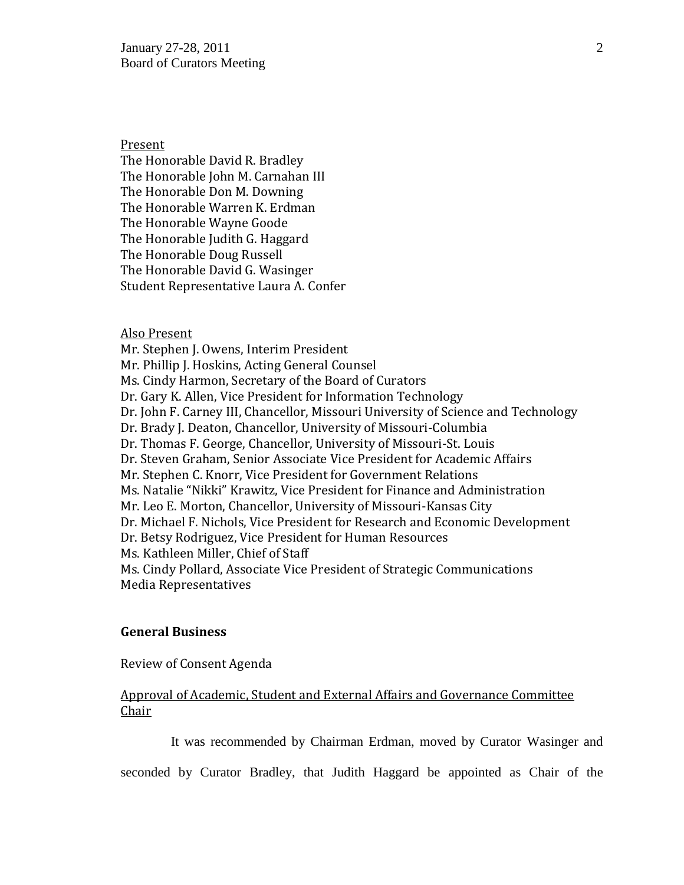Present

The Honorable David R. Bradley The Honorable John M. Carnahan III The Honorable Don M. Downing The Honorable Warren K. Erdman The Honorable Wayne Goode The Honorable Judith G. Haggard The Honorable Doug Russell The Honorable David G. Wasinger Student Representative Laura A. Confer

#### Also Present

Mr. Stephen J. Owens, Interim President Mr. Phillip J. Hoskins, Acting General Counsel Ms. Cindy Harmon, Secretary of the Board of Curators Dr. Gary K. Allen, Vice President for Information Technology Dr. John F. Carney III, Chancellor, Missouri University of Science and Technology Dr. Brady J. Deaton, Chancellor, University of Missouri-Columbia Dr. Thomas F. George, Chancellor, University of Missouri-St. Louis Dr. Steven Graham, Senior Associate Vice President for Academic Affairs Mr. Stephen C. Knorr, Vice President for Government Relations Ms. Natalie "Nikki" Krawitz, Vice President for Finance and Administration Mr. Leo E. Morton, Chancellor, University of Missouri-Kansas City Dr. Michael F. Nichols, Vice President for Research and Economic Development Dr. Betsy Rodriguez, Vice President for Human Resources Ms. Kathleen Miller, Chief of Staff Ms. Cindy Pollard, Associate Vice President of Strategic Communications Media Representatives

#### **General Business**

Review of Consent Agenda

## Approval of Academic, Student and External Affairs and Governance Committee Chair

It was recommended by Chairman Erdman, moved by Curator Wasinger and

seconded by Curator Bradley, that Judith Haggard be appointed as Chair of the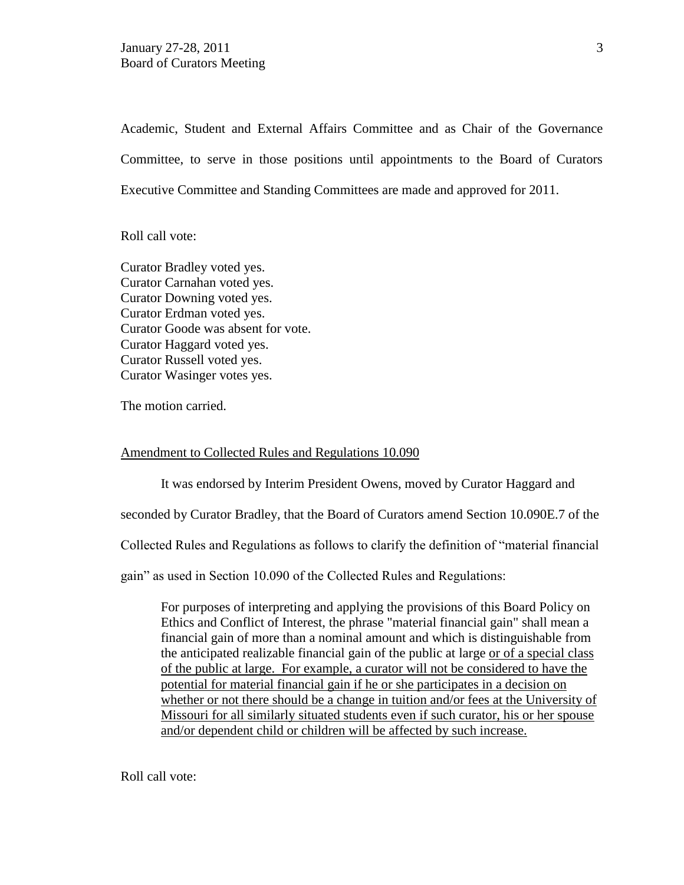Academic, Student and External Affairs Committee and as Chair of the Governance Committee, to serve in those positions until appointments to the Board of Curators Executive Committee and Standing Committees are made and approved for 2011.

Roll call vote:

Curator Bradley voted yes. Curator Carnahan voted yes. Curator Downing voted yes. Curator Erdman voted yes. Curator Goode was absent for vote. Curator Haggard voted yes. Curator Russell voted yes. Curator Wasinger votes yes.

The motion carried.

#### Amendment to Collected Rules and Regulations 10.090

It was endorsed by Interim President Owens, moved by Curator Haggard and

seconded by Curator Bradley, that the Board of Curators amend Section 10.090E.7 of the

Collected Rules and Regulations as follows to clarify the definition of "material financial

gain" as used in Section 10.090 of the Collected Rules and Regulations:

For purposes of interpreting and applying the provisions of this Board Policy on Ethics and Conflict of Interest, the phrase "material financial gain" shall mean a financial gain of more than a nominal amount and which is distinguishable from the anticipated realizable financial gain of the public at large or of a special class of the public at large. For example, a curator will not be considered to have the potential for material financial gain if he or she participates in a decision on whether or not there should be a change in tuition and/or fees at the University of Missouri for all similarly situated students even if such curator, his or her spouse and/or dependent child or children will be affected by such increase.

Roll call vote: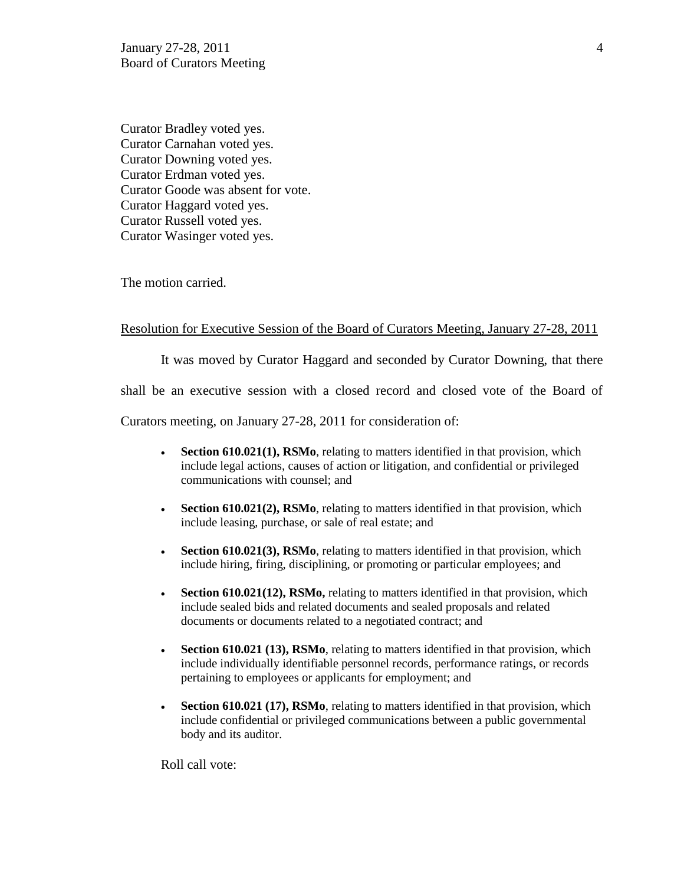January 27-28, 2011 4 Board of Curators Meeting

Curator Bradley voted yes. Curator Carnahan voted yes. Curator Downing voted yes. Curator Erdman voted yes. Curator Goode was absent for vote. Curator Haggard voted yes. Curator Russell voted yes. Curator Wasinger voted yes.

The motion carried.

#### Resolution for Executive Session of the Board of Curators Meeting, January 27-28, 2011

It was moved by Curator Haggard and seconded by Curator Downing, that there

shall be an executive session with a closed record and closed vote of the Board of

Curators meeting, on January 27-28, 2011 for consideration of:

- **Section 610.021(1), RSMo**, relating to matters identified in that provision, which include legal actions, causes of action or litigation, and confidential or privileged communications with counsel; and
- **Section 610.021(2), RSMo**, relating to matters identified in that provision, which include leasing, purchase, or sale of real estate; and
- **Section 610.021(3), RSMo**, relating to matters identified in that provision, which include hiring, firing, disciplining, or promoting or particular employees; and
- **Section 610.021(12), RSMo,** relating to matters identified in that provision, which include sealed bids and related documents and sealed proposals and related documents or documents related to a negotiated contract; and
- **Section 610.021 (13), RSMo**, relating to matters identified in that provision, which include individually identifiable personnel records, performance ratings, or records pertaining to employees or applicants for employment; and
- **Section 610.021 (17), RSMo**, relating to matters identified in that provision, which include confidential or privileged communications between a public governmental body and its auditor.

Roll call vote: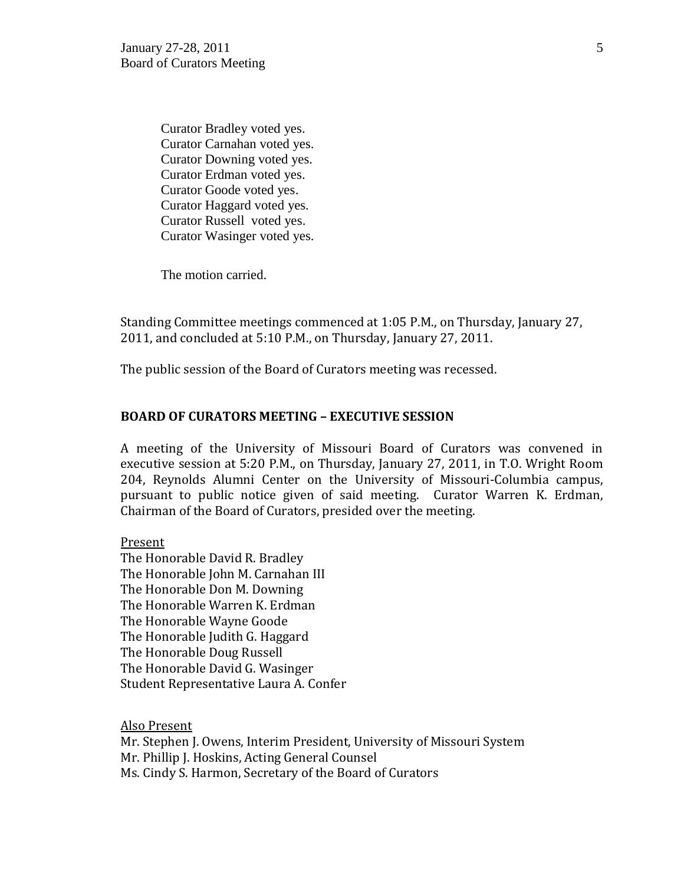Curator Bradley voted yes. Curator Carnahan voted yes. Curator Downing voted yes. Curator Erdman voted yes. Curator Goode voted yes. Curator Haggard voted yes. Curator Russell voted yes. Curator Wasinger voted yes.

The motion carried.

Standing Committee meetings commenced at 1:05 P.M., on Thursday, January 27, 2011, and concluded at 5:10 P.M., on Thursday, January 27, 2011.

The public session of the Board of Curators meeting was recessed.

#### **BOARD OF CURATORS MEETING – EXECUTIVE SESSION**

A meeting of the University of Missouri Board of Curators was convened in executive session at 5:20 P.M., on Thursday, January 27, 2011, in T.O. Wright Room 204, Reynolds Alumni Center on the University of Missouri-Columbia campus, pursuant to public notice given of said meeting. Curator Warren K. Erdman, Chairman of the Board of Curators, presided over the meeting.

Present

The Honorable David R. Bradley The Honorable John M. Carnahan III The Honorable Don M. Downing The Honorable Warren K. Erdman The Honorable Wayne Goode The Honorable Judith G. Haggard The Honorable Doug Russell The Honorable David G. Wasinger Student Representative Laura A. Confer

Also Present

Mr. Stephen J. Owens, Interim President, University of Missouri System Mr. Phillip J. Hoskins, Acting General Counsel Ms. Cindy S. Harmon, Secretary of the Board of Curators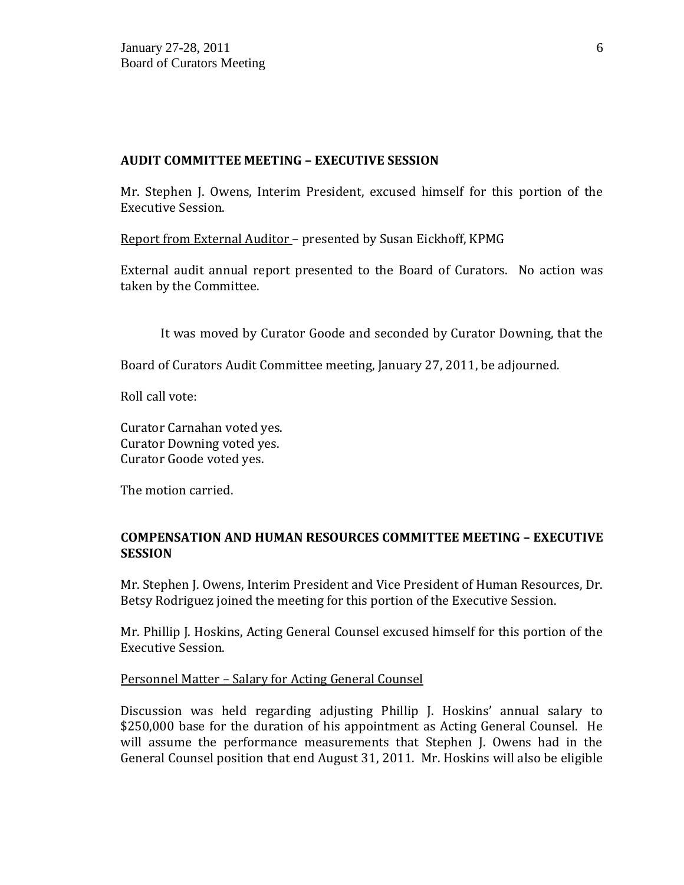### **AUDIT COMMITTEE MEETING – EXECUTIVE SESSION**

Mr. Stephen J. Owens, Interim President, excused himself for this portion of the Executive Session.

Report from External Auditor – presented by Susan Eickhoff, KPMG

External audit annual report presented to the Board of Curators. No action was taken by the Committee.

It was moved by Curator Goode and seconded by Curator Downing, that the

Board of Curators Audit Committee meeting, January 27, 2011, be adjourned.

Roll call vote:

Curator Carnahan voted yes. Curator Downing voted yes. Curator Goode voted yes.

The motion carried.

## **COMPENSATION AND HUMAN RESOURCES COMMITTEE MEETING – EXECUTIVE SESSION**

Mr. Stephen J. Owens, Interim President and Vice President of Human Resources, Dr. Betsy Rodriguez joined the meeting for this portion of the Executive Session.

Mr. Phillip J. Hoskins, Acting General Counsel excused himself for this portion of the Executive Session.

### Personnel Matter – Salary for Acting General Counsel

Discussion was held regarding adjusting Phillip J. Hoskins' annual salary to \$250,000 base for the duration of his appointment as Acting General Counsel. He will assume the performance measurements that Stephen J. Owens had in the General Counsel position that end August 31, 2011. Mr. Hoskins will also be eligible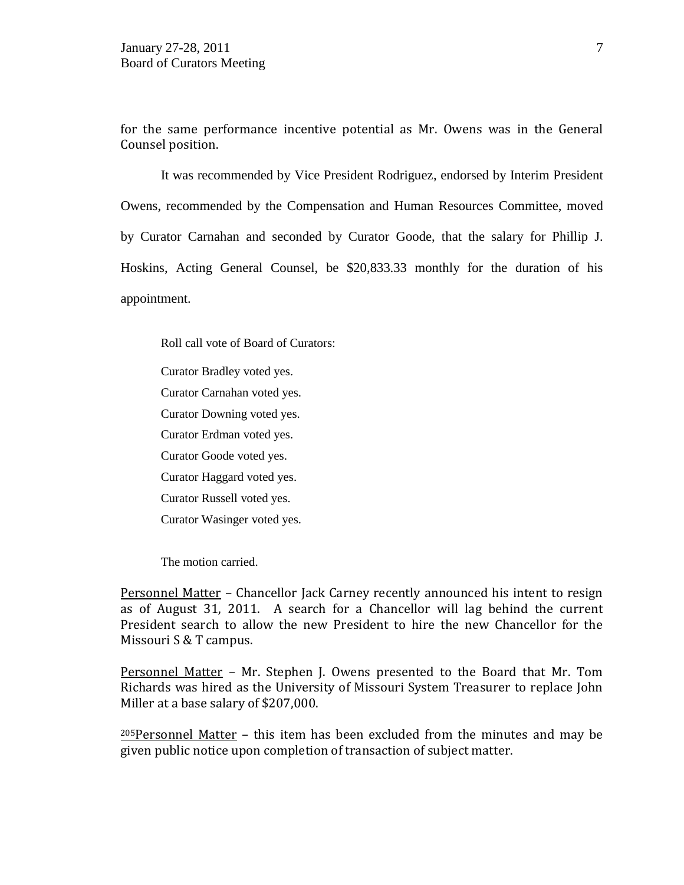for the same performance incentive potential as Mr. Owens was in the General Counsel position.

It was recommended by Vice President Rodriguez, endorsed by Interim President Owens, recommended by the Compensation and Human Resources Committee, moved by Curator Carnahan and seconded by Curator Goode, that the salary for Phillip J. Hoskins, Acting General Counsel, be \$20,833.33 monthly for the duration of his appointment.

Roll call vote of Board of Curators:

Curator Bradley voted yes. Curator Carnahan voted yes. Curator Downing voted yes.

Curator Erdman voted yes.

Curator Goode voted yes.

Curator Haggard voted yes.

Curator Russell voted yes.

Curator Wasinger voted yes.

The motion carried.

Personnel Matter – Chancellor Jack Carney recently announced his intent to resign as of August 31, 2011. A search for a Chancellor will lag behind the current President search to allow the new President to hire the new Chancellor for the Missouri S & T campus.

Personnel Matter – Mr. Stephen J. Owens presented to the Board that Mr. Tom Richards was hired as the University of Missouri System Treasurer to replace John Miller at a base salary of \$207,000.

 $205$ Personnel Matter – this item has been excluded from the minutes and may be given public notice upon completion of transaction of subject matter.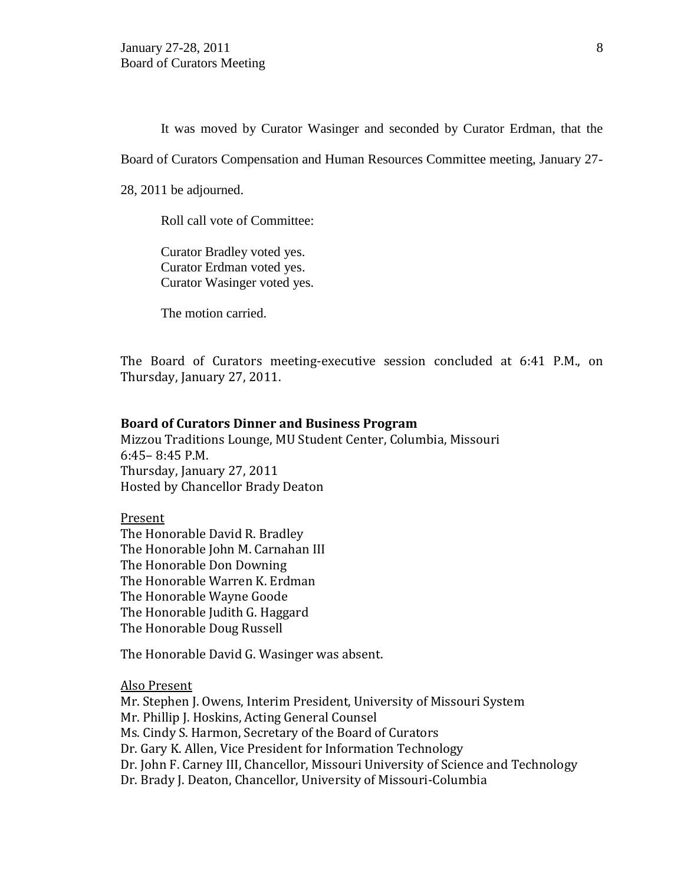It was moved by Curator Wasinger and seconded by Curator Erdman, that the

Board of Curators Compensation and Human Resources Committee meeting, January 27-

28, 2011 be adjourned.

Roll call vote of Committee:

Curator Bradley voted yes. Curator Erdman voted yes. Curator Wasinger voted yes.

The motion carried.

The Board of Curators meeting-executive session concluded at 6:41 P.M., on Thursday, January 27, 2011.

#### **Board of Curators Dinner and Business Program**

Mizzou Traditions Lounge, MU Student Center, Columbia, Missouri 6:45– 8:45 P.M. Thursday, January 27, 2011 Hosted by Chancellor Brady Deaton

Present The Honorable David R. Bradley The Honorable John M. Carnahan III The Honorable Don Downing The Honorable Warren K. Erdman The Honorable Wayne Goode The Honorable Judith G. Haggard The Honorable Doug Russell

The Honorable David G. Wasinger was absent.

Also Present

Mr. Stephen J. Owens, Interim President, University of Missouri System Mr. Phillip J. Hoskins, Acting General Counsel Ms. Cindy S. Harmon, Secretary of the Board of Curators Dr. Gary K. Allen, Vice President for Information Technology Dr. John F. Carney III, Chancellor, Missouri University of Science and Technology Dr. Brady J. Deaton, Chancellor, University of Missouri-Columbia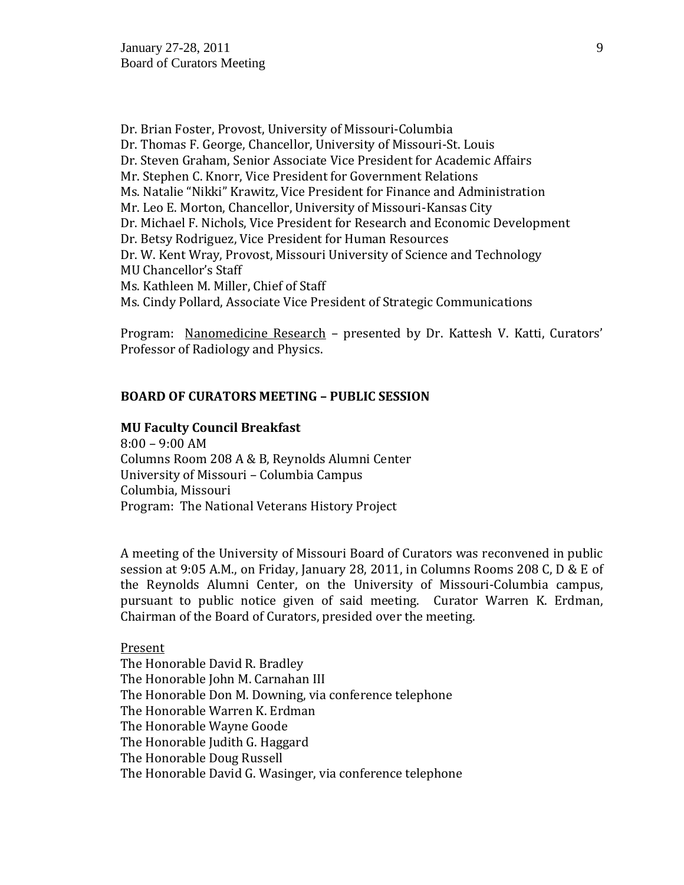Dr. Brian Foster, Provost, University of Missouri-Columbia Dr. Thomas F. George, Chancellor, University of Missouri-St. Louis Dr. Steven Graham, Senior Associate Vice President for Academic Affairs Mr. Stephen C. Knorr, Vice President for Government Relations Ms. Natalie "Nikki" Krawitz, Vice President for Finance and Administration Mr. Leo E. Morton, Chancellor, University of Missouri-Kansas City Dr. Michael F. Nichols, Vice President for Research and Economic Development Dr. Betsy Rodriguez, Vice President for Human Resources Dr. W. Kent Wray, Provost, Missouri University of Science and Technology MU Chancellor's Staff Ms. Kathleen M. Miller, Chief of Staff Ms. Cindy Pollard, Associate Vice President of Strategic Communications

Program: Nanomedicine Research – presented by Dr. Kattesh V. Katti, Curators' Professor of Radiology and Physics.

#### **BOARD OF CURATORS MEETING – PUBLIC SESSION**

#### **MU Faculty Council Breakfast**

8:00 – 9:00 AM Columns Room 208 A & B, Reynolds Alumni Center University of Missouri – Columbia Campus Columbia, Missouri Program: The National Veterans History Project

A meeting of the University of Missouri Board of Curators was reconvened in public session at 9:05 A.M., on Friday, January 28, 2011, in Columns Rooms 208 C, D & E of the Reynolds Alumni Center, on the University of Missouri-Columbia campus, pursuant to public notice given of said meeting. Curator Warren K. Erdman, Chairman of the Board of Curators, presided over the meeting.

#### Present

The Honorable David R. Bradley The Honorable John M. Carnahan III The Honorable Don M. Downing, via conference telephone The Honorable Warren K. Erdman The Honorable Wayne Goode The Honorable Judith G. Haggard The Honorable Doug Russell The Honorable David G. Wasinger, via conference telephone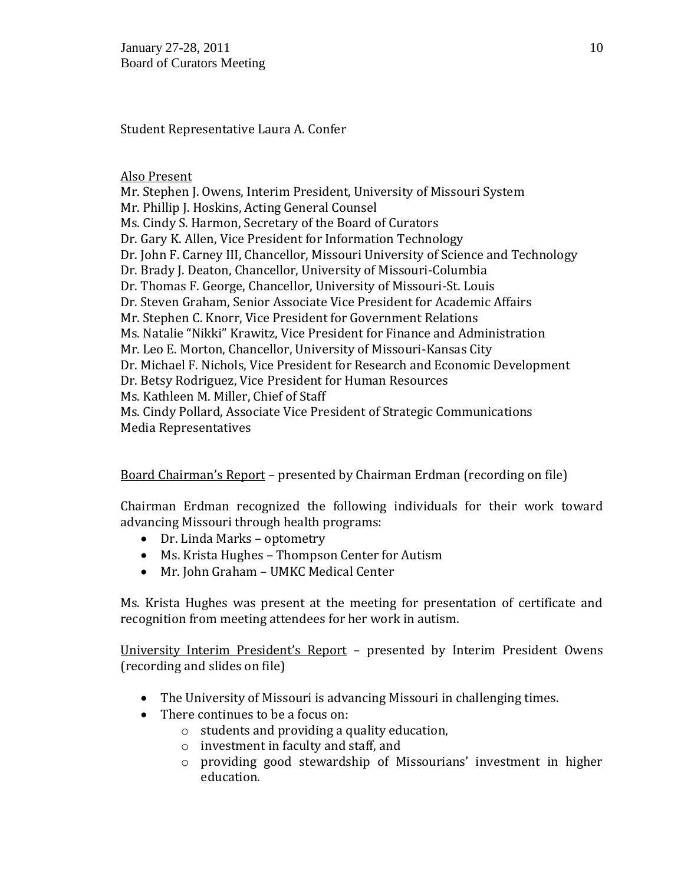January 27-28, 2011 10 Board of Curators Meeting

Student Representative Laura A. Confer

#### Also Present

Mr. Stephen J. Owens, Interim President, University of Missouri System Mr. Phillip J. Hoskins, Acting General Counsel Ms. Cindy S. Harmon, Secretary of the Board of Curators Dr. Gary K. Allen, Vice President for Information Technology Dr. John F. Carney III, Chancellor, Missouri University of Science and Technology Dr. Brady J. Deaton, Chancellor, University of Missouri-Columbia Dr. Thomas F. George, Chancellor, University of Missouri-St. Louis Dr. Steven Graham, Senior Associate Vice President for Academic Affairs Mr. Stephen C. Knorr, Vice President for Government Relations Ms. Natalie "Nikki" Krawitz, Vice President for Finance and Administration Mr. Leo E. Morton, Chancellor, University of Missouri-Kansas City Dr. Michael F. Nichols, Vice President for Research and Economic Development Dr. Betsy Rodriguez, Vice President for Human Resources Ms. Kathleen M. Miller, Chief of Staff Ms. Cindy Pollard, Associate Vice President of Strategic Communications Media Representatives

Board Chairman's Report – presented by Chairman Erdman (recording on file)

Chairman Erdman recognized the following individuals for their work toward advancing Missouri through health programs:

- Dr. Linda Marks optometry
- Ms. Krista Hughes Thompson Center for Autism
- Mr. John Graham UMKC Medical Center

Ms. Krista Hughes was present at the meeting for presentation of certificate and recognition from meeting attendees for her work in autism.

University Interim President's Report – presented by Interim President Owens (recording and slides on file)

- The University of Missouri is advancing Missouri in challenging times.
- There continues to be a focus on:
	- o students and providing a quality education,
	- o investment in faculty and staff, and
	- o providing good stewardship of Missourians' investment in higher education.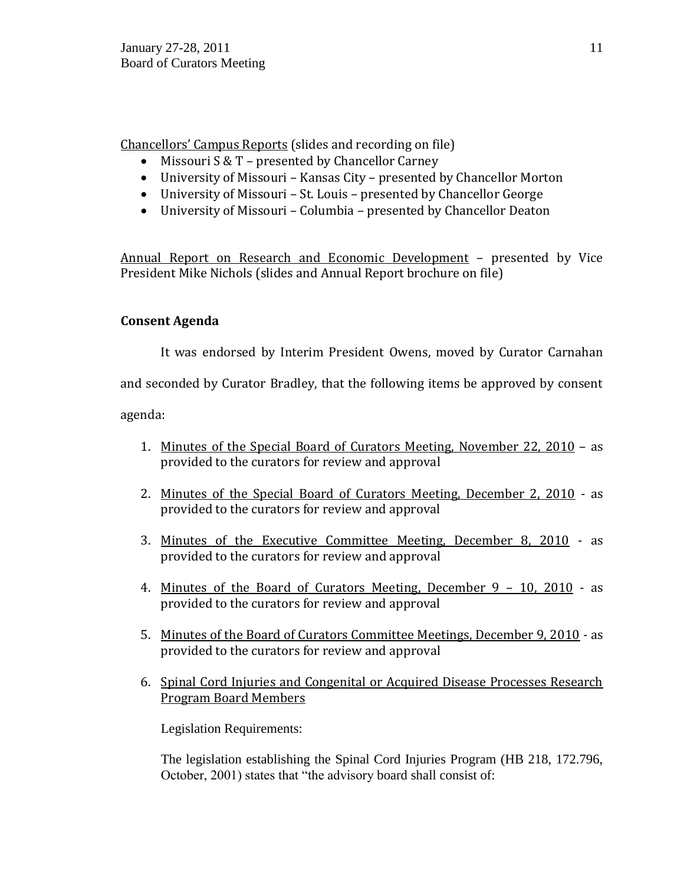Chancellors' Campus Reports (slides and recording on file)

- Missouri S & T presented by Chancellor Carney
- University of Missouri Kansas City presented by Chancellor Morton
- University of Missouri St. Louis presented by Chancellor George
- University of Missouri Columbia presented by Chancellor Deaton

Annual Report on Research and Economic Development – presented by Vice President Mike Nichols (slides and Annual Report brochure on file)

# **Consent Agenda**

It was endorsed by Interim President Owens, moved by Curator Carnahan

and seconded by Curator Bradley, that the following items be approved by consent

agenda:

- 1. Minutes of the Special Board of Curators Meeting, November 22, 2010 as provided to the curators for review and approval
- 2. Minutes of the Special Board of Curators Meeting, December 2, 2010 as provided to the curators for review and approval
- 3. Minutes of the Executive Committee Meeting, December 8, 2010 as provided to the curators for review and approval
- 4. Minutes of the Board of Curators Meeting, December 9 10, 2010 as provided to the curators for review and approval
- 5. Minutes of the Board of Curators Committee Meetings, December 9, 2010 as provided to the curators for review and approval
- 6. Spinal Cord Injuries and Congenital or Acquired Disease Processes Research Program Board Members

Legislation Requirements:

The legislation establishing the Spinal Cord Injuries Program (HB 218, 172.796, October, 2001) states that "the advisory board shall consist of: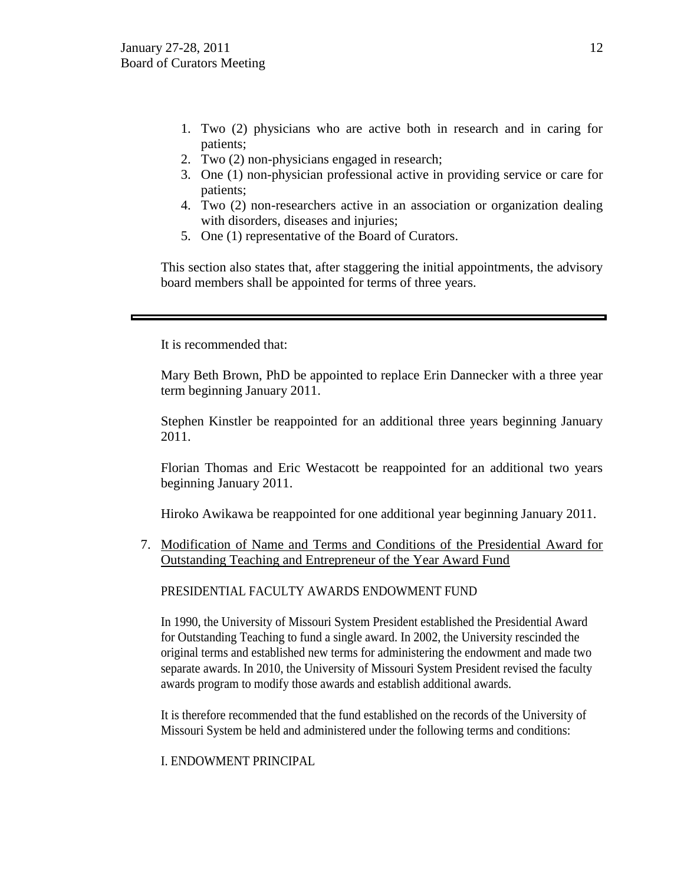- 1. Two (2) physicians who are active both in research and in caring for patients;
- 2. Two (2) non-physicians engaged in research;
- 3. One (1) non-physician professional active in providing service or care for patients;
- 4. Two (2) non-researchers active in an association or organization dealing with disorders, diseases and injuries;
- 5. One (1) representative of the Board of Curators.

This section also states that, after staggering the initial appointments, the advisory board members shall be appointed for terms of three years.

It is recommended that:

Mary Beth Brown, PhD be appointed to replace Erin Dannecker with a three year term beginning January 2011.

Stephen Kinstler be reappointed for an additional three years beginning January 2011.

Florian Thomas and Eric Westacott be reappointed for an additional two years beginning January 2011.

Hiroko Awikawa be reappointed for one additional year beginning January 2011.

7. Modification of Name and Terms and Conditions of the Presidential Award for Outstanding Teaching and Entrepreneur of the Year Award Fund

PRESIDENTIAL FACULTY AWARDS ENDOWMENT FUND

In 1990, the University of Missouri System President established the Presidential Award for Outstanding Teaching to fund a single award. In 2002, the University rescinded the original terms and established new terms for administering the endowment and made two separate awards. In 2010, the University of Missouri System President revised the faculty awards program to modify those awards and establish additional awards.

It is therefore recommended that the fund established on the records of the University of Missouri System be held and administered under the following terms and conditions:

I. ENDOWMENT PRINCIPAL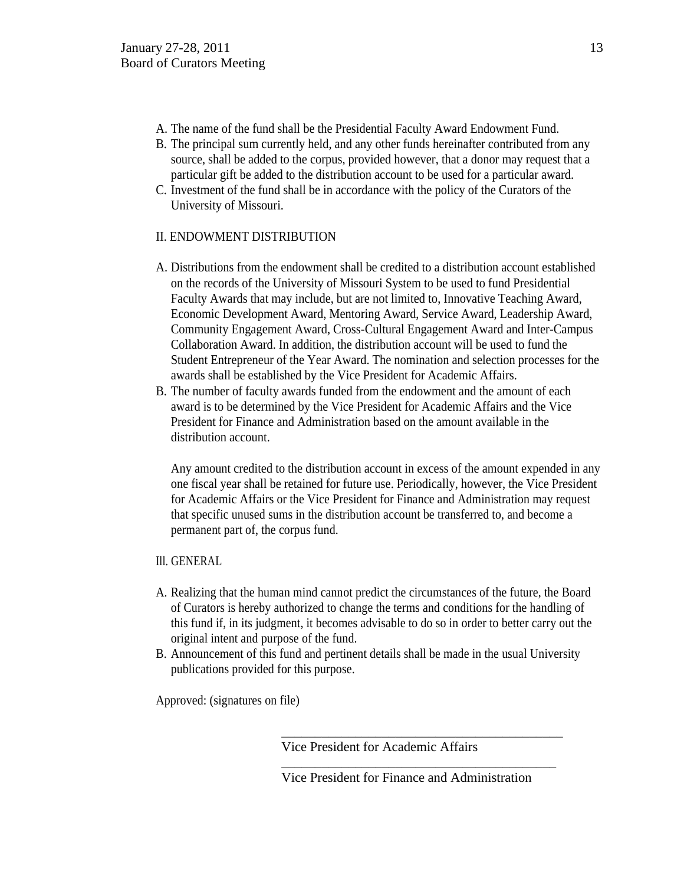- A. The name of the fund shall be the Presidential Faculty Award Endowment Fund.
- B. The principal sum currently held, and any other funds hereinafter contributed from any source, shall be added to the corpus, provided however, that a donor may request that a particular gift be added to the distribution account to be used for a particular award.
- C. Investment of the fund shall be in accordance with the policy of the Curators of the University of Missouri.

## II. ENDOWMENT DISTRIBUTION

- A. Distributions from the endowment shall be credited to a distribution account established on the records of the University of Missouri System to be used to fund Presidential Faculty Awards that may include, but are not limited to, Innovative Teaching Award, Economic Development Award, Mentoring Award, Service Award, Leadership Award, Community Engagement Award, Cross-Cultural Engagement Award and Inter-Campus Collaboration Award. In addition, the distribution account will be used to fund the Student Entrepreneur of the Year Award. The nomination and selection processes for the awards shall be established by the Vice President for Academic Affairs.
- B. The number of faculty awards funded from the endowment and the amount of each award is to be determined by the Vice President for Academic Affairs and the Vice President for Finance and Administration based on the amount available in the distribution account.

Any amount credited to the distribution account in excess of the amount expended in any one fiscal year shall be retained for future use. Periodically, however, the Vice President for Academic Affairs or the Vice President for Finance and Administration may request that specific unused sums in the distribution account be transferred to, and become a permanent part of, the corpus fund.

- Ill. GENERAL
- A. Realizing that the human mind cannot predict the circumstances of the future, the Board of Curators is hereby authorized to change the terms and conditions for the handling of this fund if, in its judgment, it becomes advisable to do so in order to better carry out the original intent and purpose of the fund.
- B. Announcement of this fund and pertinent details shall be made in the usual University publications provided for this purpose.

Approved: (signatures on file)

Vice President for Academic Affairs

Vice President for Finance and Administration

\_\_\_\_\_\_\_\_\_\_\_\_\_\_\_\_\_\_\_\_\_\_\_\_\_\_\_\_\_\_\_\_\_\_\_\_\_\_\_\_\_\_

\_\_\_\_\_\_\_\_\_\_\_\_\_\_\_\_\_\_\_\_\_\_\_\_\_\_\_\_\_\_\_\_\_\_\_\_\_\_\_\_\_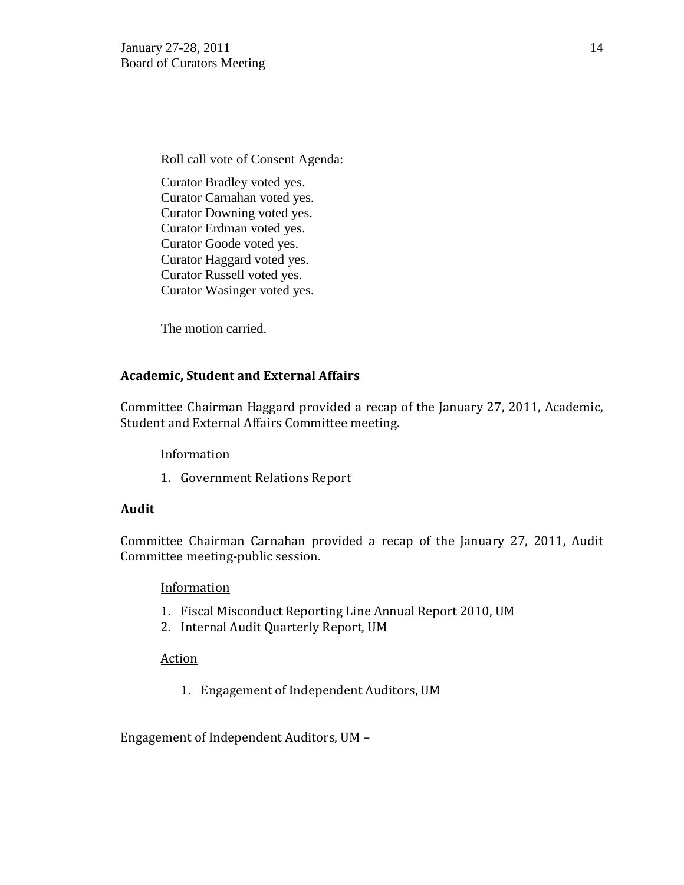Roll call vote of Consent Agenda: Curator Bradley voted yes. Curator Carnahan voted yes. Curator Downing voted yes. Curator Erdman voted yes. Curator Goode voted yes. Curator Haggard voted yes. Curator Russell voted yes.

The motion carried.

### **Academic, Student and External Affairs**

Curator Wasinger voted yes.

Committee Chairman Haggard provided a recap of the January 27, 2011, Academic, Student and External Affairs Committee meeting.

### **Information**

1. Government Relations Report

#### **Audit**

Committee Chairman Carnahan provided a recap of the January 27, 2011, Audit Committee meeting-public session.

#### **Information**

- 1. Fiscal Misconduct Reporting Line Annual Report 2010, UM
- 2. Internal Audit Quarterly Report, UM

#### Action

1. Engagement of Independent Auditors, UM

### Engagement of Independent Auditors, UM –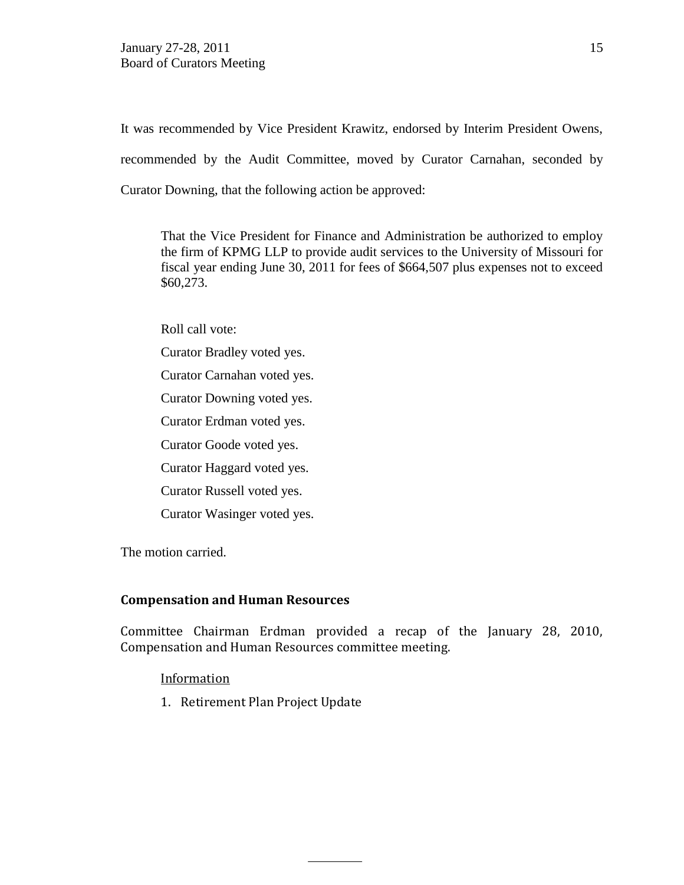It was recommended by Vice President Krawitz, endorsed by Interim President Owens, recommended by the Audit Committee, moved by Curator Carnahan, seconded by Curator Downing, that the following action be approved:

That the Vice President for Finance and Administration be authorized to employ the firm of KPMG LLP to provide audit services to the University of Missouri for fiscal year ending June 30, 2011 for fees of \$664,507 plus expenses not to exceed \$60,273.

Roll call vote:

- Curator Bradley voted yes.
- Curator Carnahan voted yes.
- Curator Downing voted yes.
- Curator Erdman voted yes.
- Curator Goode voted yes.
- Curator Haggard voted yes.
- Curator Russell voted yes.
- Curator Wasinger voted yes.

The motion carried.

#### **Compensation and Human Resources**

Committee Chairman Erdman provided a recap of the January 28, 2010, Compensation and Human Resources committee meeting.

### Information

1. Retirement Plan Project Update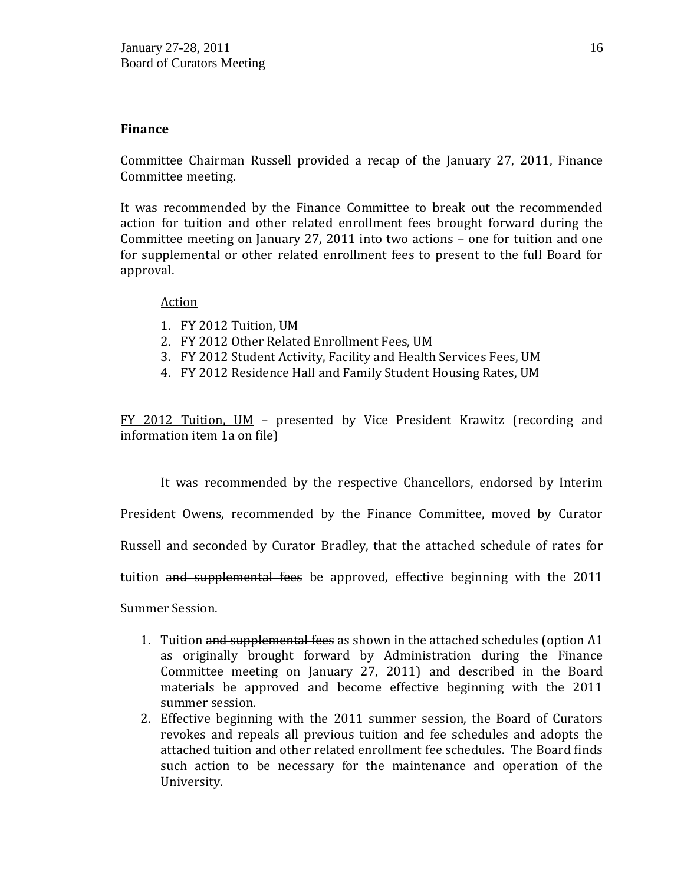## **Finance**

Committee Chairman Russell provided a recap of the January 27, 2011, Finance Committee meeting.

It was recommended by the Finance Committee to break out the recommended action for tuition and other related enrollment fees brought forward during the Committee meeting on January 27, 2011 into two actions – one for tuition and one for supplemental or other related enrollment fees to present to the full Board for approval.

### Action

- 1. FY 2012 Tuition, UM
- 2. FY 2012 Other Related Enrollment Fees, UM
- 3. FY 2012 Student Activity, Facility and Health Services Fees, UM
- 4. FY 2012 Residence Hall and Family Student Housing Rates, UM

FY 2012 Tuition, UM – presented by Vice President Krawitz (recording and information item 1a on file)

It was recommended by the respective Chancellors, endorsed by Interim

President Owens, recommended by the Finance Committee, moved by Curator

Russell and seconded by Curator Bradley, that the attached schedule of rates for

tuition and supplemental fees be approved, effective beginning with the 2011

Summer Session.

- 1. Tuition and supplemental fees as shown in the attached schedules (option A1 as originally brought forward by Administration during the Finance Committee meeting on January 27, 2011) and described in the Board materials be approved and become effective beginning with the 2011 summer session.
- 2. Effective beginning with the 2011 summer session, the Board of Curators revokes and repeals all previous tuition and fee schedules and adopts the attached tuition and other related enrollment fee schedules. The Board finds such action to be necessary for the maintenance and operation of the University.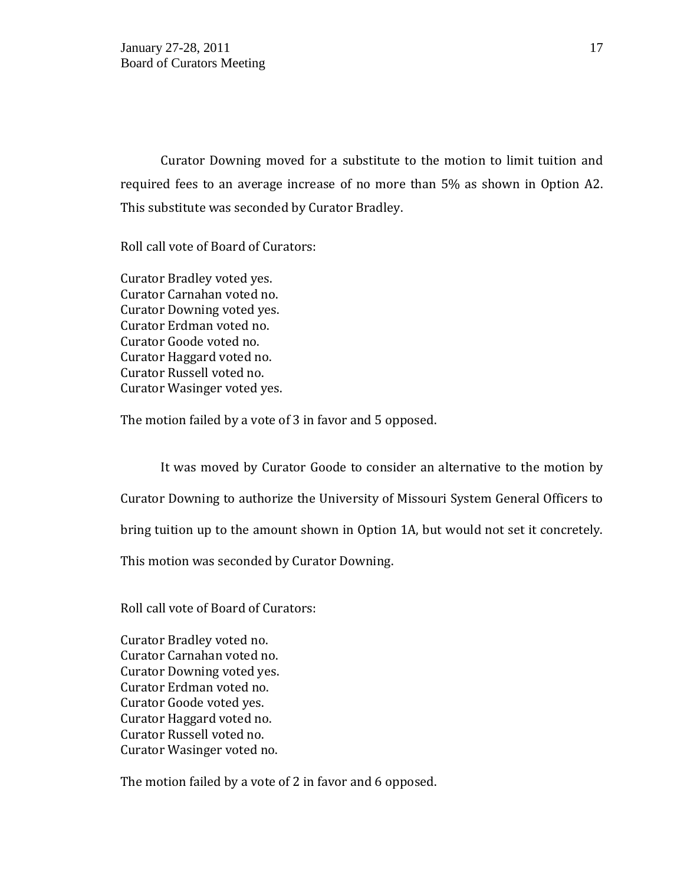Curator Downing moved for a substitute to the motion to limit tuition and required fees to an average increase of no more than 5% as shown in Option A2. This substitute was seconded by Curator Bradley.

Roll call vote of Board of Curators:

Curator Bradley voted yes. Curator Carnahan voted no. Curator Downing voted yes. Curator Erdman voted no. Curator Goode voted no. Curator Haggard voted no. Curator Russell voted no. Curator Wasinger voted yes.

The motion failed by a vote of 3 in favor and 5 opposed.

It was moved by Curator Goode to consider an alternative to the motion by Curator Downing to authorize the University of Missouri System General Officers to bring tuition up to the amount shown in Option 1A, but would not set it concretely. This motion was seconded by Curator Downing.

Roll call vote of Board of Curators:

Curator Bradley voted no. Curator Carnahan voted no. Curator Downing voted yes. Curator Erdman voted no. Curator Goode voted yes. Curator Haggard voted no. Curator Russell voted no. Curator Wasinger voted no.

The motion failed by a vote of 2 in favor and 6 opposed.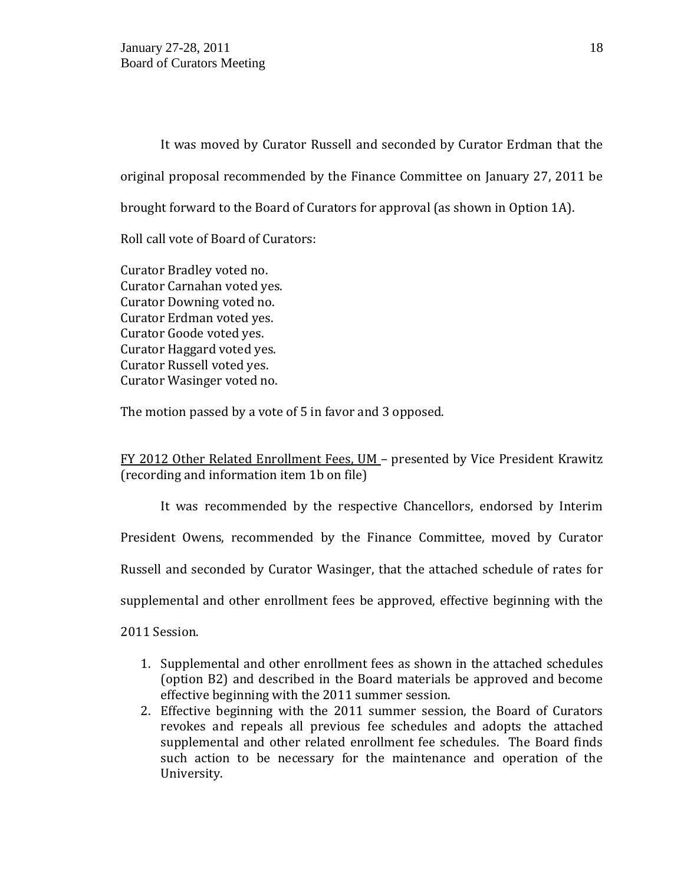It was moved by Curator Russell and seconded by Curator Erdman that the original proposal recommended by the Finance Committee on January 27, 2011 be brought forward to the Board of Curators for approval (as shown in Option 1A).

Roll call vote of Board of Curators:

Curator Bradley voted no. Curator Carnahan voted yes. Curator Downing voted no. Curator Erdman voted yes. Curator Goode voted yes. Curator Haggard voted yes. Curator Russell voted yes. Curator Wasinger voted no.

The motion passed by a vote of 5 in favor and 3 opposed.

FY 2012 Other Related Enrollment Fees, UM – presented by Vice President Krawitz (recording and information item 1b on file)

It was recommended by the respective Chancellors, endorsed by Interim President Owens, recommended by the Finance Committee, moved by Curator Russell and seconded by Curator Wasinger, that the attached schedule of rates for supplemental and other enrollment fees be approved, effective beginning with the

2011 Session.

- 1. Supplemental and other enrollment fees as shown in the attached schedules (option B2) and described in the Board materials be approved and become effective beginning with the 2011 summer session.
- 2. Effective beginning with the 2011 summer session, the Board of Curators revokes and repeals all previous fee schedules and adopts the attached supplemental and other related enrollment fee schedules. The Board finds such action to be necessary for the maintenance and operation of the University.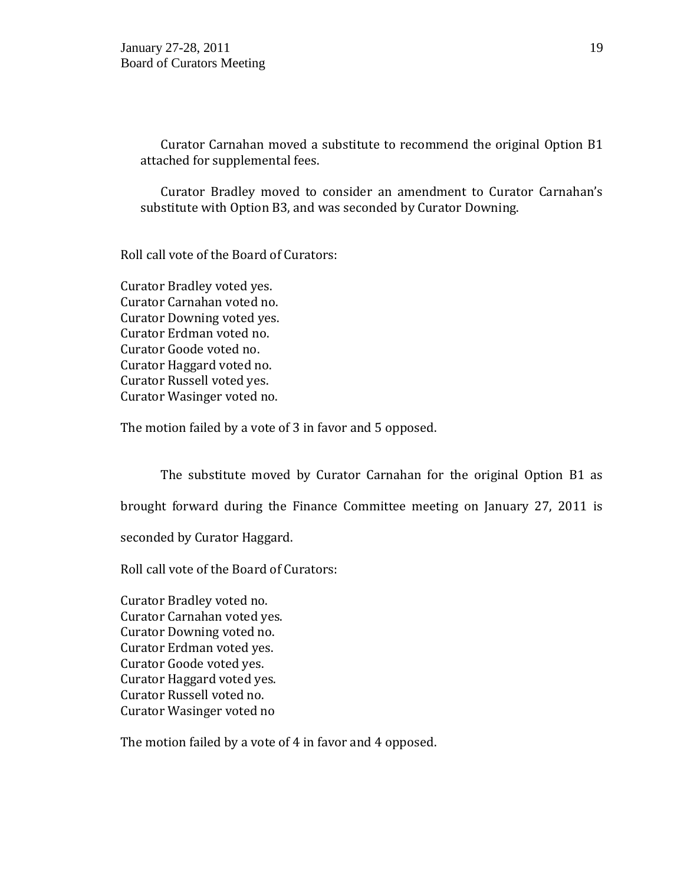Curator Carnahan moved a substitute to recommend the original Option B1 attached for supplemental fees.

Curator Bradley moved to consider an amendment to Curator Carnahan's substitute with Option B3, and was seconded by Curator Downing.

Roll call vote of the Board of Curators:

Curator Bradley voted yes. Curator Carnahan voted no. Curator Downing voted yes. Curator Erdman voted no. Curator Goode voted no. Curator Haggard voted no. Curator Russell voted yes. Curator Wasinger voted no.

The motion failed by a vote of 3 in favor and 5 opposed.

The substitute moved by Curator Carnahan for the original Option B1 as brought forward during the Finance Committee meeting on January 27, 2011 is seconded by Curator Haggard. Roll call vote of the Board of Curators:

Curator Bradley voted no. Curator Carnahan voted yes. Curator Downing voted no. Curator Erdman voted yes. Curator Goode voted yes. Curator Haggard voted yes. Curator Russell voted no. Curator Wasinger voted no

The motion failed by a vote of 4 in favor and 4 opposed.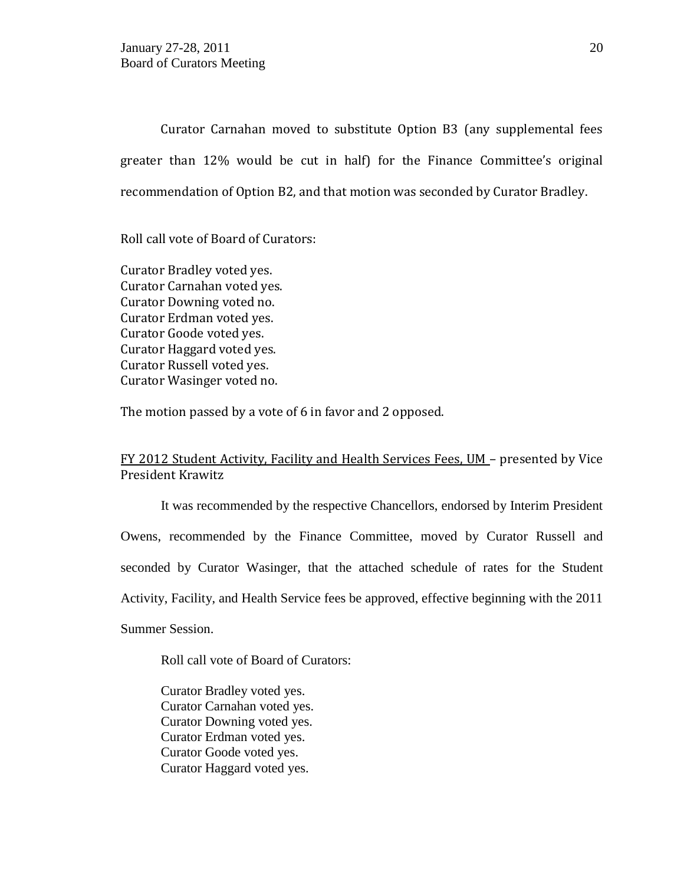Curator Carnahan moved to substitute Option B3 (any supplemental fees greater than 12% would be cut in half) for the Finance Committee's original recommendation of Option B2, and that motion was seconded by Curator Bradley.

Roll call vote of Board of Curators:

Curator Bradley voted yes. Curator Carnahan voted yes. Curator Downing voted no. Curator Erdman voted yes. Curator Goode voted yes. Curator Haggard voted yes. Curator Russell voted yes. Curator Wasinger voted no.

The motion passed by a vote of 6 in favor and 2 opposed.

## FY 2012 Student Activity, Facility and Health Services Fees, UM – presented by Vice President Krawitz

It was recommended by the respective Chancellors, endorsed by Interim President Owens, recommended by the Finance Committee, moved by Curator Russell and seconded by Curator Wasinger, that the attached schedule of rates for the Student Activity, Facility, and Health Service fees be approved, effective beginning with the 2011 Summer Session.

Roll call vote of Board of Curators:

Curator Bradley voted yes. Curator Carnahan voted yes. Curator Downing voted yes. Curator Erdman voted yes. Curator Goode voted yes. Curator Haggard voted yes.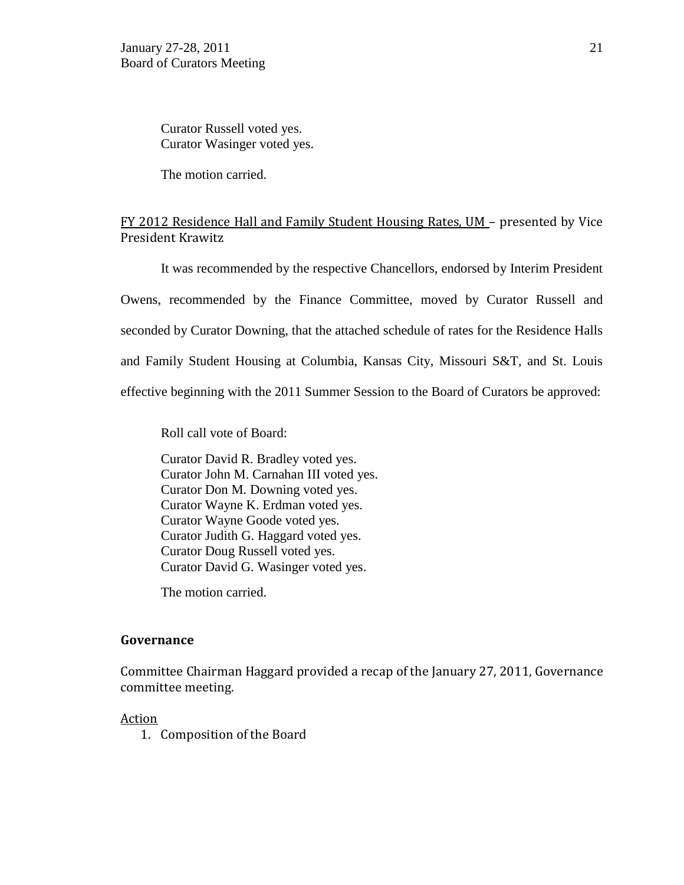Curator Russell voted yes. Curator Wasinger voted yes.

The motion carried.

## FY 2012 Residence Hall and Family Student Housing Rates, UM – presented by Vice President Krawitz

It was recommended by the respective Chancellors, endorsed by Interim President Owens, recommended by the Finance Committee, moved by Curator Russell and seconded by Curator Downing, that the attached schedule of rates for the Residence Halls and Family Student Housing at Columbia, Kansas City, Missouri S&T, and St. Louis effective beginning with the 2011 Summer Session to the Board of Curators be approved:

Roll call vote of Board:

Curator David R. Bradley voted yes. Curator John M. Carnahan III voted yes. Curator Don M. Downing voted yes. Curator Wayne K. Erdman voted yes. Curator Wayne Goode voted yes. Curator Judith G. Haggard voted yes. Curator Doug Russell voted yes. Curator David G. Wasinger voted yes.

The motion carried.

### **Governance**

Committee Chairman Haggard provided a recap of the January 27, 2011, Governance committee meeting.

### Action

1. Composition of the Board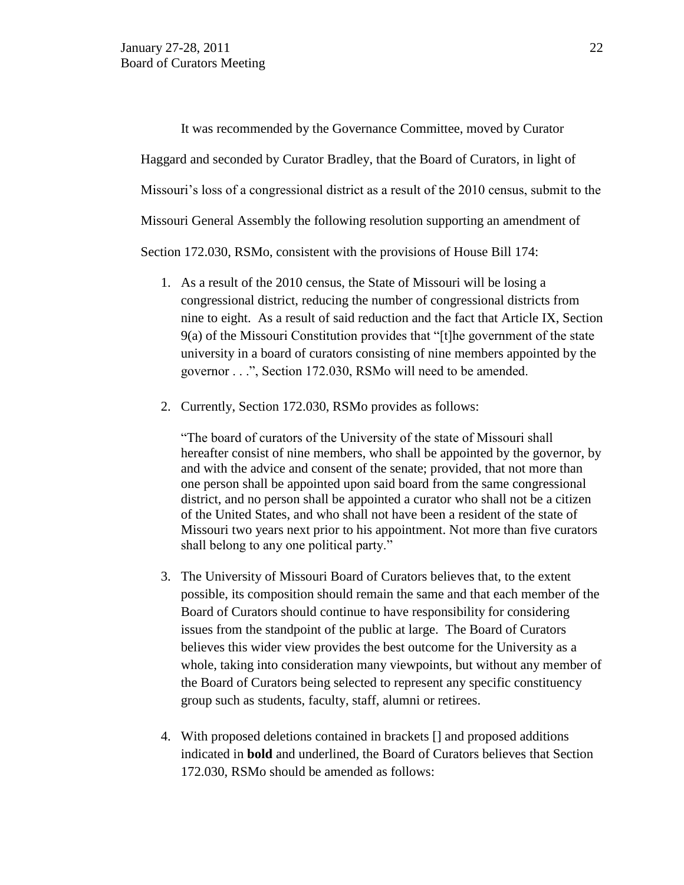It was recommended by the Governance Committee, moved by Curator Haggard and seconded by Curator Bradley, that the Board of Curators, in light of Missouri's loss of a congressional district as a result of the 2010 census, submit to the Missouri General Assembly the following resolution supporting an amendment of Section 172.030, RSMo, consistent with the provisions of House Bill 174:

- 1. As a result of the 2010 census, the State of Missouri will be losing a congressional district, reducing the number of congressional districts from nine to eight. As a result of said reduction and the fact that Article IX, Section 9(a) of the Missouri Constitution provides that "[t]he government of the state university in a board of curators consisting of nine members appointed by the governor . . .", Section 172.030, RSMo will need to be amended.
- 2. Currently, Section 172.030, RSMo provides as follows:

"The board of curators of the University of the state of Missouri shall hereafter consist of nine members, who shall be appointed by the governor, by and with the advice and consent of the senate; provided, that not more than one person shall be appointed upon said board from the same congressional district, and no person shall be appointed a curator who shall not be a citizen of the United States, and who shall not have been a resident of the state of Missouri two years next prior to his appointment. Not more than five curators shall belong to any one political party."

- 3. The University of Missouri Board of Curators believes that, to the extent possible, its composition should remain the same and that each member of the Board of Curators should continue to have responsibility for considering issues from the standpoint of the public at large. The Board of Curators believes this wider view provides the best outcome for the University as a whole, taking into consideration many viewpoints, but without any member of the Board of Curators being selected to represent any specific constituency group such as students, faculty, staff, alumni or retirees.
- 4. With proposed deletions contained in brackets [] and proposed additions indicated in **bold** and underlined, the Board of Curators believes that Section 172.030, RSMo should be amended as follows: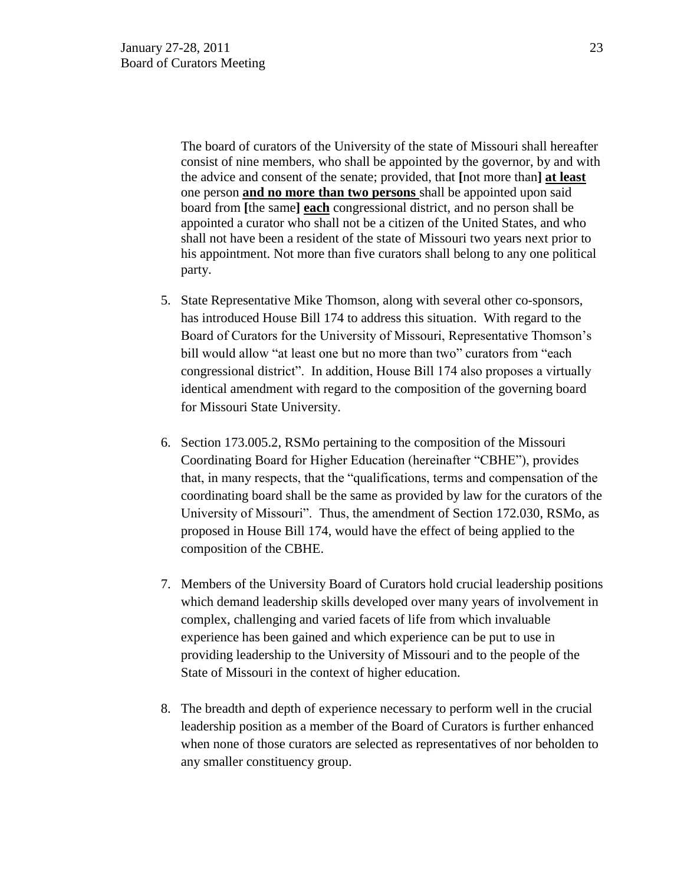The board of curators of the University of the state of Missouri shall hereafter consist of nine members, who shall be appointed by the governor, by and with the advice and consent of the senate; provided, that **[**not more than**] at least** one person **and no more than two persons** shall be appointed upon said board from **[**the same**] each** congressional district, and no person shall be appointed a curator who shall not be a citizen of the United States, and who shall not have been a resident of the state of Missouri two years next prior to his appointment. Not more than five curators shall belong to any one political party.

- 5. State Representative Mike Thomson, along with several other co-sponsors, has introduced House Bill 174 to address this situation. With regard to the Board of Curators for the University of Missouri, Representative Thomson's bill would allow "at least one but no more than two" curators from "each congressional district". In addition, House Bill 174 also proposes a virtually identical amendment with regard to the composition of the governing board for Missouri State University.
- 6. Section 173.005.2, RSMo pertaining to the composition of the Missouri Coordinating Board for Higher Education (hereinafter "CBHE"), provides that, in many respects, that the "qualifications, terms and compensation of the coordinating board shall be the same as provided by law for the curators of the University of Missouri". Thus, the amendment of Section 172.030, RSMo, as proposed in House Bill 174, would have the effect of being applied to the composition of the CBHE.
- 7. Members of the University Board of Curators hold crucial leadership positions which demand leadership skills developed over many years of involvement in complex, challenging and varied facets of life from which invaluable experience has been gained and which experience can be put to use in providing leadership to the University of Missouri and to the people of the State of Missouri in the context of higher education.
- 8. The breadth and depth of experience necessary to perform well in the crucial leadership position as a member of the Board of Curators is further enhanced when none of those curators are selected as representatives of nor beholden to any smaller constituency group.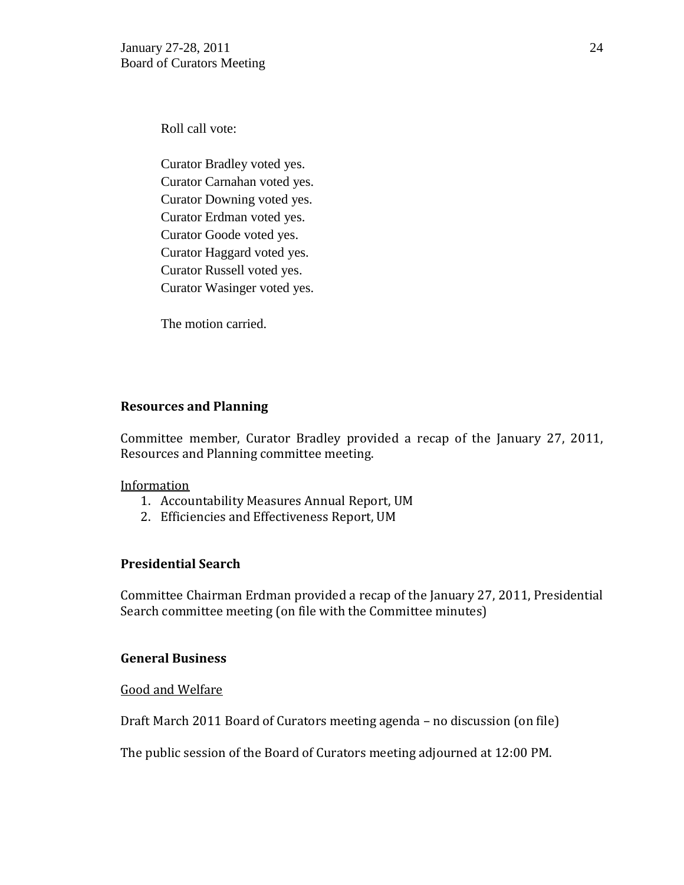Roll call vote:

Curator Bradley voted yes. Curator Carnahan voted yes. Curator Downing voted yes. Curator Erdman voted yes. Curator Goode voted yes. Curator Haggard voted yes. Curator Russell voted yes. Curator Wasinger voted yes.

The motion carried.

## **Resources and Planning**

Committee member, Curator Bradley provided a recap of the January 27, 2011, Resources and Planning committee meeting.

### Information

- 1. Accountability Measures Annual Report, UM
- 2. Efficiencies and Effectiveness Report, UM

## **Presidential Search**

Committee Chairman Erdman provided a recap of the January 27, 2011, Presidential Search committee meeting (on file with the Committee minutes)

## **General Business**

Good and Welfare

Draft March 2011 Board of Curators meeting agenda – no discussion (on file)

The public session of the Board of Curators meeting adjourned at 12:00 PM.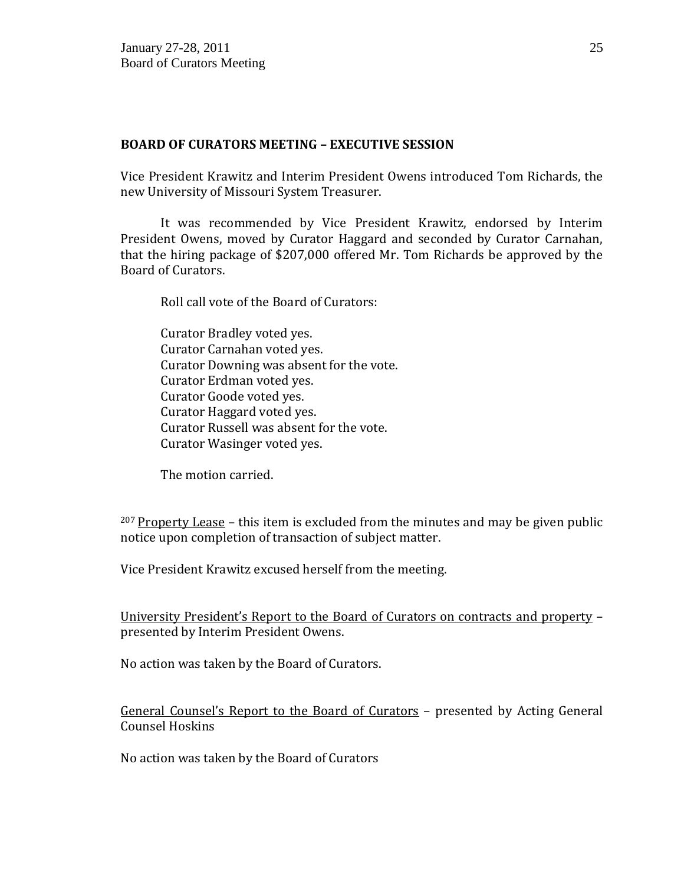### **BOARD OF CURATORS MEETING – EXECUTIVE SESSION**

Vice President Krawitz and Interim President Owens introduced Tom Richards, the new University of Missouri System Treasurer.

It was recommended by Vice President Krawitz, endorsed by Interim President Owens, moved by Curator Haggard and seconded by Curator Carnahan, that the hiring package of \$207,000 offered Mr. Tom Richards be approved by the Board of Curators.

Roll call vote of the Board of Curators:

Curator Bradley voted yes. Curator Carnahan voted yes. Curator Downing was absent for the vote. Curator Erdman voted yes. Curator Goode voted yes. Curator Haggard voted yes. Curator Russell was absent for the vote. Curator Wasinger voted yes.

The motion carried.

 $207$  Property Lease – this item is excluded from the minutes and may be given public notice upon completion of transaction of subject matter.

Vice President Krawitz excused herself from the meeting.

University President's Report to the Board of Curators on contracts and property – presented by Interim President Owens.

No action was taken by the Board of Curators.

General Counsel's Report to the Board of Curators – presented by Acting General Counsel Hoskins

No action was taken by the Board of Curators